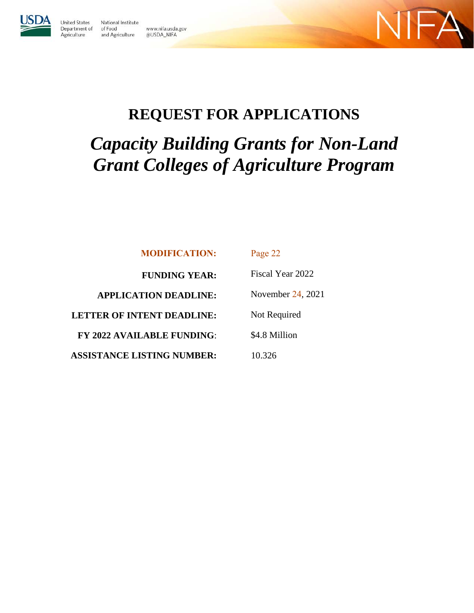

**United States** National Institute Department of of Food www.nifa.usda.gov Agriculture and Agriculture @USDA\_NIFA



# **REQUEST FOR APPLICATIONS**

# *Capacity Building Grants for Non-Land Grant Colleges of Agriculture Program*

| <b>MODIFICATION:</b>              | Page 22           |
|-----------------------------------|-------------------|
| <b>FUNDING YEAR:</b>              | Fiscal Year 2022  |
| <b>APPLICATION DEADLINE:</b>      | November 24, 2021 |
| <b>LETTER OF INTENT DEADLINE:</b> | Not Required      |
| <b>FY 2022 AVAILABLE FUNDING:</b> | \$4.8 Million     |
| <b>ASSISTANCE LISTING NUMBER:</b> | 10.326            |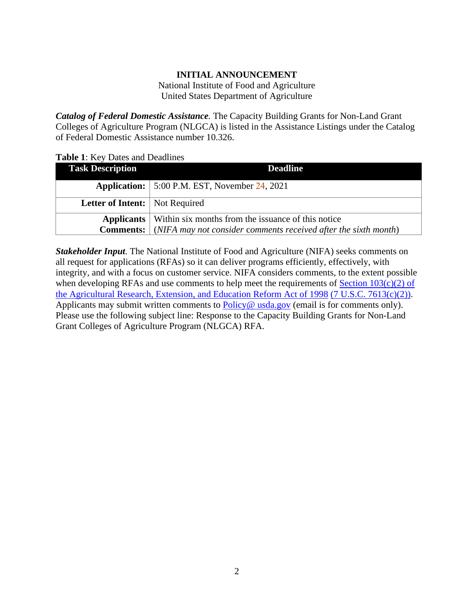#### **INITIAL ANNOUNCEMENT**

National Institute of Food and Agriculture United States Department of Agriculture

<span id="page-1-0"></span>*Catalog of Federal Domestic Assistance.* The Capacity Building Grants for Non-Land Grant Colleges of Agriculture Program (NLGCA) is listed in the Assistance Listings under the Catalog of Federal Domestic Assistance number 10.326.

#### <span id="page-1-1"></span>**Table 1**: Key Dates and Deadlines

| <b>Task Description</b>               | <b>Deadline</b>                                                        |
|---------------------------------------|------------------------------------------------------------------------|
|                                       | <b>Application:</b> 5:00 P.M. EST, November 24, 2021                   |
| <b>Letter of Intent:</b> Not Required |                                                                        |
|                                       | <b>Applicants</b>   Within six months from the issuance of this notice |
| <b>Comments:</b>                      | (NIFA may not consider comments received after the sixth month)        |

*Stakeholder Input*. The National Institute of Food and Agriculture (NIFA) seeks comments on all request for applications (RFAs) so it can deliver programs efficiently, effectively, with integrity, and with a focus on customer service. NIFA considers comments, to the extent possible when developing RFAs and use comments to help meet the requirements of Section  $103(c)(2)$  of [the Agricultural Research, Extension, and Education Reform Act of 1998](https://uscode.house.gov/view.xhtml?req=(title:7%20section:7613%20edition:prelim)%20OR%20(granuleid:USC-prelim-title7-section7613)&f=treesort&edition=prelim&num=0&jumpTo=true) [\(7 U.S.C. 7613\(c\)\(2\)\).](https://uscode.house.gov/view.xhtml?req=(title:7%20section:7613%20edition:prelim)%20OR%20(granuleid:USC-prelim-title7-section7613)&f=treesort&edition=prelim&num=0&jumpTo=true) Applicants may submit written comments to [Policy@ usda.gov](mailto:Policy@nifa.usda.gov) (email is for comments only). Please use the following subject line: Response to the Capacity Building Grants for Non-Land Grant Colleges of Agriculture Program (NLGCA) RFA.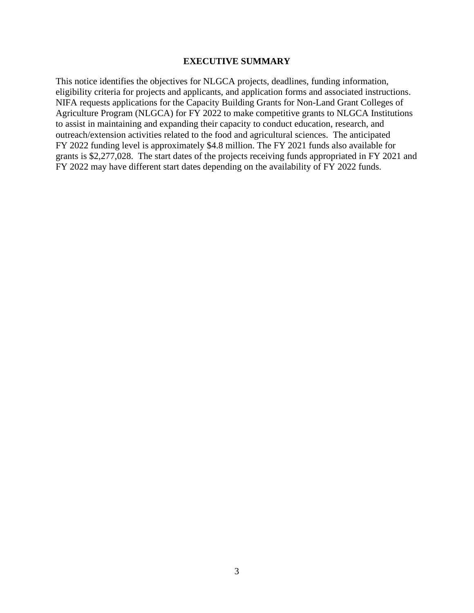#### **EXECUTIVE SUMMARY**

<span id="page-2-0"></span>This notice identifies the objectives for NLGCA projects, deadlines, funding information, eligibility criteria for projects and applicants, and application forms and associated instructions. NIFA requests applications for the Capacity Building Grants for Non-Land Grant Colleges of Agriculture Program (NLGCA) for FY 2022 to make competitive grants to NLGCA Institutions to assist in maintaining and expanding their capacity to conduct education, research, and outreach/extension activities related to the food and agricultural sciences. The anticipated FY 2022 funding level is approximately \$4.8 million. The FY 2021 funds also available for grants is \$2,277,028. The start dates of the projects receiving funds appropriated in FY 2021 and FY 2022 may have different start dates depending on the availability of FY 2022 funds.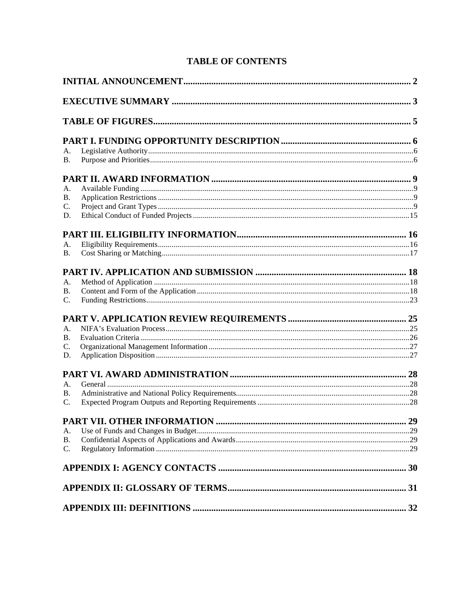| А.<br>B.       |  |
|----------------|--|
|                |  |
| А.             |  |
| <b>B.</b>      |  |
| C.             |  |
| D.             |  |
|                |  |
| А.             |  |
| B.             |  |
|                |  |
| А.             |  |
| В.             |  |
| $\mathbf{C}$ . |  |
|                |  |
| А.             |  |
| В.             |  |
| C.             |  |
| D.             |  |
|                |  |
| А.             |  |
| В.             |  |
| $\mathbf{C}$ . |  |
|                |  |
| А.             |  |
| В.             |  |
| C.             |  |
|                |  |
|                |  |
|                |  |

# **TABLE OF CONTENTS**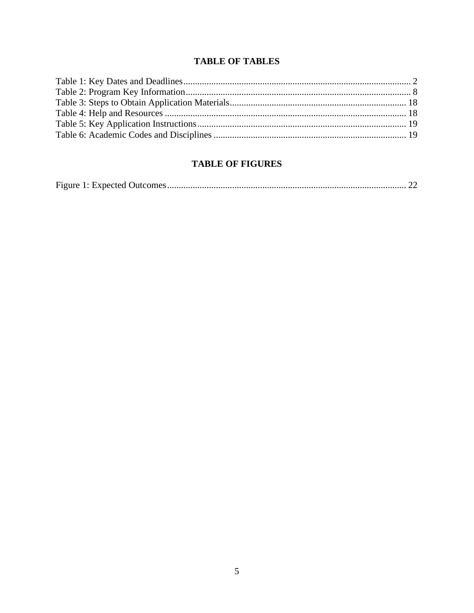# **TABLE OF TABLES**

# <span id="page-4-0"></span>**TABLE OF FIGURES**

|--|--|--|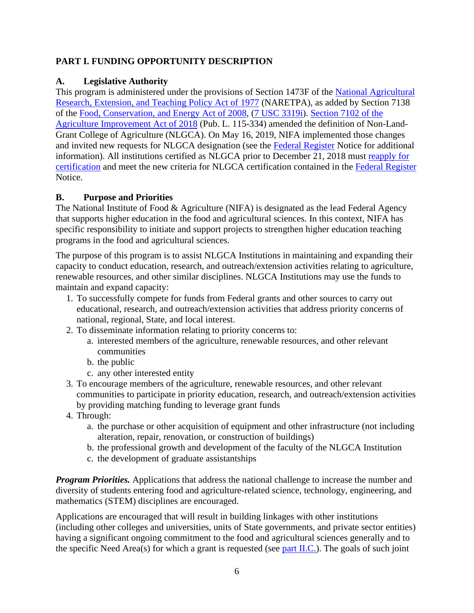# <span id="page-5-0"></span>**PART I. FUNDING OPPORTUNITY DESCRIPTION**

# <span id="page-5-1"></span>**A. Legislative Authority**

This program is administered under the provisions of Section 1473F of the [National Agricultural](https://nifa.usda.gov/sites/default/files/resource/nar77.pdf)  [Research, Extension, and Teaching Policy Act of 1977](https://nifa.usda.gov/sites/default/files/resource/nar77.pdf) (NARETPA), as added by Section 7138 of the [Food, Conservation, and Energy Act of 2008,](https://www.congress.gov/bill/110th-congress/house-bill/2419/text) [\(7 USC 3319i\)](https://uscode.house.gov/view.xhtml?req=(title:7%20section:3319i%20edition:prelim)%20OR%20(granuleid:USC-prelim-title7-section3319i)&f=treesort&edition=prelim&num=0&jumpTo=true). [Section 7102 of the](https://www.congress.gov/bill/115th-congress/house-bill/2/text)  [Agriculture Improvement Act of 2018](https://www.congress.gov/bill/115th-congress/house-bill/2/text) (Pub. L. 115-334) amended the definition of Non-Land-Grant College of Agriculture (NLGCA). On May 16, 2019, NIFA implemented those changes and invited new requests for NLGCA designation (see the [Federal Register](https://www.federalregister.gov/documents/2019/05/16/2019-10105/designation-as-a-non-land-grant-college-of-agriculture?utm_content=&utm_medium=email&utm_name=&utm_source=govdelivery&utm_term=) Notice for additional information). All institutions certified as NLGCA prior to December 21, 2018 must reapply for [certification](https://nifa.usda.gov/webform/request-non-land-grant-college-agriculture-designation) and meet the new criteria for NLGCA certification contained in the [Federal Register](https://www.federalregister.gov/documents/2019/05/16/2019-10105/designation-as-a-non-land-grant-college-of-agriculture?utm_content=&utm_medium=email&utm_name=&utm_source=govdelivery&utm_term=) Notice.

# <span id="page-5-2"></span>**B. Purpose and Priorities**

The National Institute of Food & Agriculture (NIFA) is designated as the lead Federal Agency that supports higher education in the food and agricultural sciences. In this context, NIFA has specific responsibility to initiate and support projects to strengthen higher education teaching programs in the food and agricultural sciences.

The purpose of this program is to assist NLGCA Institutions in maintaining and expanding their capacity to conduct education, research, and outreach/extension activities relating to agriculture, renewable resources, and other similar disciplines. NLGCA Institutions may use the funds to maintain and expand capacity:

- 1. To successfully compete for funds from Federal grants and other sources to carry out educational, research, and outreach/extension activities that address priority concerns of national, regional, State, and local interest.
- 2. To disseminate information relating to priority concerns to:
	- a. interested members of the agriculture, renewable resources, and other relevant communities
	- b. the public
	- c. any other interested entity
- 3. To encourage members of the agriculture, renewable resources, and other relevant communities to participate in priority education, research, and outreach/extension activities by providing matching funding to leverage grant funds
- 4. Through:
	- a. the purchase or other acquisition of equipment and other infrastructure (not including alteration, repair, renovation, or construction of buildings)
	- b. the professional growth and development of the faculty of the NLGCA Institution
	- c. the development of graduate assistantships

*Program Priorities.* Applications that address the national challenge to increase the number and diversity of students entering food and agriculture-related science, technology, engineering, and mathematics (STEM) disciplines are encouraged.

Applications are encouraged that will result in building linkages with other institutions (including other colleges and universities, units of State governments, and private sector entities) having a significant ongoing commitment to the food and agricultural sciences generally and to the specific Need Area(s) for which a grant is requested (see part  $II.C$ ). The goals of such joint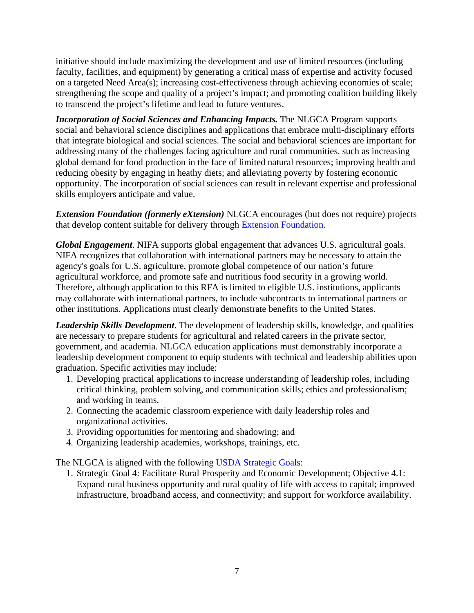initiative should include maximizing the development and use of limited resources (including faculty, facilities, and equipment) by generating a critical mass of expertise and activity focused on a targeted Need Area(s); increasing cost-effectiveness through achieving economies of scale; strengthening the scope and quality of a project's impact; and promoting coalition building likely to transcend the project's lifetime and lead to future ventures.

*Incorporation of Social Sciences and Enhancing Impacts.* The NLGCA Program supports social and behavioral science disciplines and applications that embrace multi-disciplinary efforts that integrate biological and social sciences. The social and behavioral sciences are important for addressing many of the challenges facing agriculture and rural communities, such as increasing global demand for food production in the face of limited natural resources; improving health and reducing obesity by engaging in heathy diets; and alleviating poverty by fostering economic opportunity. The incorporation of social sciences can result in relevant expertise and professional skills employers anticipate and value.

*Extension Foundation (formerly eXtension)* NLGCA encourages (but does not require) projects that develop content suitable for delivery through [Extension Foundation.](https://extension.org/)

*Global Engagement*. NIFA supports global engagement that advances U.S. agricultural goals. NIFA recognizes that collaboration with international partners may be necessary to attain the agency's goals for U.S. agriculture, promote global competence of our nation's future agricultural workforce, and promote safe and nutritious food security in a growing world. Therefore, although application to this RFA is limited to eligible U.S. institutions, applicants may collaborate with international partners, to include subcontracts to international partners or other institutions. Applications must clearly demonstrate benefits to the United States.

*Leadership Skills Development*. The development of leadership skills, knowledge, and qualities are necessary to prepare students for agricultural and related careers in the private sector, government, and academia. NLGCA education applications must demonstrably incorporate a leadership development component to equip students with technical and leadership abilities upon graduation. Specific activities may include:

- 1. Developing practical applications to increase understanding of leadership roles, including critical thinking, problem solving, and communication skills; ethics and professionalism; and working in teams.
- 2. Connecting the academic classroom experience with daily leadership roles and organizational activities.
- 3. Providing opportunities for mentoring and shadowing; and
- 4. Organizing leadership academies, workshops, trainings, etc.

The NLGCA is aligned with the following [USDA Strategic Goals:](https://www.usda.gov/sites/default/files/documents/usda-strategic-plan-2018-2022.pdf) 

<span id="page-6-0"></span>1. Strategic Goal 4: Facilitate Rural Prosperity and Economic Development; Objective 4.1: Expand rural business opportunity and rural quality of life with access to capital; improved infrastructure, broadband access, and connectivity; and support for workforce availability.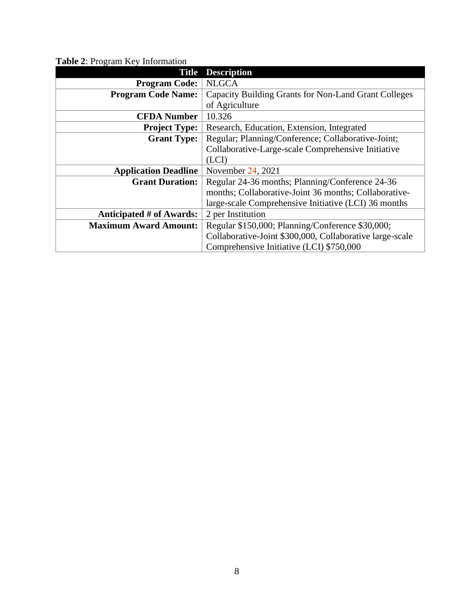| <b>Title</b>                 | <b>Description</b>                                       |
|------------------------------|----------------------------------------------------------|
| <b>Program Code:</b>         | <b>NLGCA</b>                                             |
| <b>Program Code Name:</b>    | Capacity Building Grants for Non-Land Grant Colleges     |
|                              | of Agriculture                                           |
| <b>CFDA Number</b>           | 10.326                                                   |
| <b>Project Type:</b>         | Research, Education, Extension, Integrated               |
| <b>Grant Type:</b>           | Regular; Planning/Conference; Collaborative-Joint;       |
|                              | Collaborative-Large-scale Comprehensive Initiative       |
|                              | (LCI)                                                    |
| <b>Application Deadline</b>  | November 24, 2021                                        |
| <b>Grant Duration:</b>       | Regular 24-36 months; Planning/Conference 24-36          |
|                              | months; Collaborative-Joint 36 months; Collaborative-    |
|                              | large-scale Comprehensive Initiative (LCI) 36 months     |
| Anticipated # of Awards:     | 2 per Institution                                        |
| <b>Maximum Award Amount:</b> | Regular \$150,000; Planning/Conference \$30,000;         |
|                              | Collaborative-Joint \$300,000, Collaborative large-scale |
|                              | Comprehensive Initiative (LCI) \$750,000                 |

**Table 2**: Program Key Information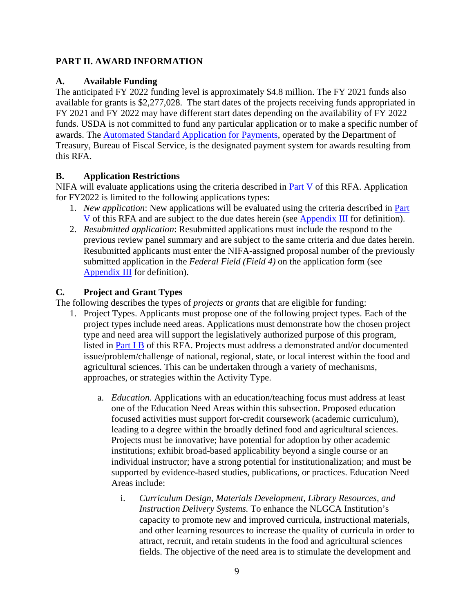## <span id="page-8-0"></span>**PART II. AWARD INFORMATION**

# <span id="page-8-1"></span>**A. Available Funding**

The anticipated FY 2022 funding level is approximately \$4.8 million. The FY 2021 funds also available for grants is \$2,277,028. The start dates of the projects receiving funds appropriated in FY 2021 and FY 2022 may have different start dates depending on the availability of FY 2022 funds. USDA is not committed to fund any particular application or to make a specific number of awards. The [Automated Standard Application for Payments,](https://www.fiscal.treasury.gov/fsservices/gov/pmt/asap/asap_home.htm) operated by the Department of Treasury, Bureau of Fiscal Service, is the designated payment system for awards resulting from this RFA.

# <span id="page-8-2"></span>**B. Application Restrictions**

NIFA will evaluate applications using the criteria described in **Part V** of this RFA. Application for FY2022 is limited to the following applications types:

- 1. *New application*: New applications will be evaluated using the criteria described in [Part](#page-24-0) [V](#page-24-0) of this RFA and are subject to the due dates herein (see [Appendix III](#page-31-0) for definition).
- 2. *Resubmitted application*: Resubmitted applications must include the respond to the previous review panel summary and are subject to the same criteria and due dates herein. Resubmitted applicants must enter the NIFA-assigned proposal number of the previously submitted application in the *Federal Field (Field 4)* on the application form (see [Appendix III](#page-31-0) for definition).

# <span id="page-8-3"></span>**C. Project and Grant Types**

The following describes the types of *projects* or *grants* that are eligible for funding:

- 1. Project Types. Applicants must propose one of the following project types. Each of the project types include need areas. Applications must demonstrate how the chosen project type and need area will support the legislatively authorized purpose of this program, listed in [Part I B](#page-5-2) of this RFA. Projects must address a demonstrated and/or documented issue/problem/challenge of national, regional, state, or local interest within the food and agricultural sciences. This can be undertaken through a variety of mechanisms, approaches, or strategies within the Activity Type.
	- a. *Education.* Applications with an education/teaching focus must address at least one of the Education Need Areas within this subsection. Proposed education focused activities must support for-credit coursework (academic curriculum), leading to a degree within the broadly defined food and agricultural sciences. Projects must be innovative; have potential for adoption by other academic institutions; exhibit broad-based applicability beyond a single course or an individual instructor; have a strong potential for institutionalization; and must be supported by evidence-based studies, publications, or practices. Education Need Areas include:
		- i. *Curriculum Design, Materials Development, Library Resources, and Instruction Delivery Systems.* To enhance the NLGCA Institution's capacity to promote new and improved curricula, instructional materials, and other learning resources to increase the quality of curricula in order to attract, recruit, and retain students in the food and agricultural sciences fields. The objective of the need area is to stimulate the development and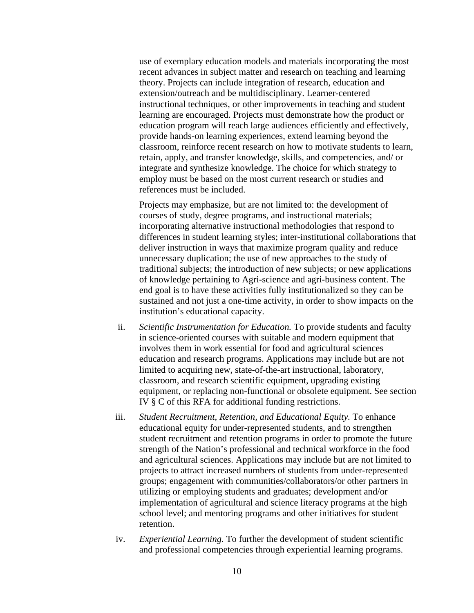use of exemplary education models and materials incorporating the most recent advances in subject matter and research on teaching and learning theory. Projects can include integration of research, education and extension/outreach and be multidisciplinary. Learner-centered instructional techniques, or other improvements in teaching and student learning are encouraged. Projects must demonstrate how the product or education program will reach large audiences efficiently and effectively, provide hands-on learning experiences, extend learning beyond the classroom, reinforce recent research on how to motivate students to learn, retain, apply, and transfer knowledge, skills, and competencies, and/ or integrate and synthesize knowledge. The choice for which strategy to employ must be based on the most current research or studies and references must be included.

Projects may emphasize, but are not limited to: the development of courses of study, degree programs, and instructional materials; incorporating alternative instructional methodologies that respond to differences in student learning styles; inter-institutional collaborations that deliver instruction in ways that maximize program quality and reduce unnecessary duplication; the use of new approaches to the study of traditional subjects; the introduction of new subjects; or new applications of knowledge pertaining to Agri-science and agri-business content. The end goal is to have these activities fully institutionalized so they can be sustained and not just a one-time activity, in order to show impacts on the institution's educational capacity.

- ii. *Scientific Instrumentation for Education.* To provide students and faculty in science-oriented courses with suitable and modern equipment that involves them in work essential for food and agricultural sciences education and research programs. Applications may include but are not limited to acquiring new, state-of-the-art instructional, laboratory, classroom, and research scientific equipment, upgrading existing equipment, or replacing non-functional or obsolete equipment. See section IV § C of this RFA for additional funding restrictions.
- iii. *Student Recruitment, Retention, and Educational Equity.* To enhance educational equity for under-represented students, and to strengthen student recruitment and retention programs in order to promote the future strength of the Nation's professional and technical workforce in the food and agricultural sciences. Applications may include but are not limited to projects to attract increased numbers of students from under-represented groups; engagement with communities/collaborators/or other partners in utilizing or employing students and graduates; development and/or implementation of agricultural and science literacy programs at the high school level; and mentoring programs and other initiatives for student retention.
- iv. *Experiential Learning.* To further the development of student scientific and professional competencies through experiential learning programs.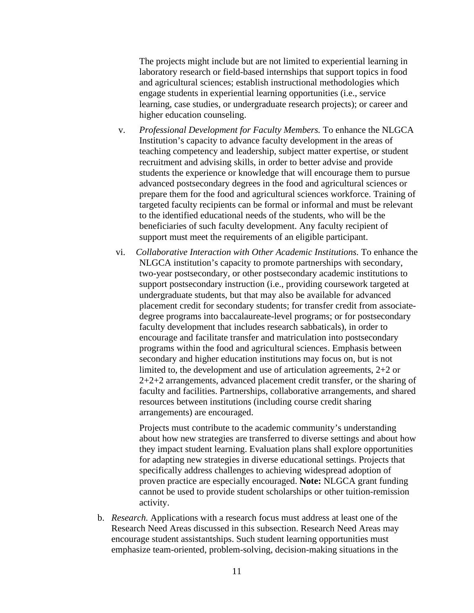The projects might include but are not limited to experiential learning in laboratory research or field-based internships that support topics in food and agricultural sciences; establish instructional methodologies which engage students in experiential learning opportunities (i.e., service learning, case studies, or undergraduate research projects); or career and higher education counseling.

- v. *Professional Development for Faculty Members.* To enhance the NLGCA Institution's capacity to advance faculty development in the areas of teaching competency and leadership, subject matter expertise, or student recruitment and advising skills, in order to better advise and provide students the experience or knowledge that will encourage them to pursue advanced postsecondary degrees in the food and agricultural sciences or prepare them for the food and agricultural sciences workforce. Training of targeted faculty recipients can be formal or informal and must be relevant to the identified educational needs of the students, who will be the beneficiaries of such faculty development. Any faculty recipient of support must meet the requirements of an eligible participant.
- vi. *Collaborative Interaction with Other Academic Institutions.* To enhance the NLGCA institution's capacity to promote partnerships with secondary, two-year postsecondary, or other postsecondary academic institutions to support postsecondary instruction (i.e., providing coursework targeted at undergraduate students, but that may also be available for advanced placement credit for secondary students; for transfer credit from associatedegree programs into baccalaureate-level programs; or for postsecondary faculty development that includes research sabbaticals), in order to encourage and facilitate transfer and matriculation into postsecondary programs within the food and agricultural sciences. Emphasis between secondary and higher education institutions may focus on, but is not limited to, the development and use of articulation agreements, 2+2 or 2+2+2 arrangements, advanced placement credit transfer, or the sharing of faculty and facilities. Partnerships, collaborative arrangements, and shared resources between institutions (including course credit sharing arrangements) are encouraged.

Projects must contribute to the academic community's understanding about how new strategies are transferred to diverse settings and about how they impact student learning. Evaluation plans shall explore opportunities for adapting new strategies in diverse educational settings. Projects that specifically address challenges to achieving widespread adoption of proven practice are especially encouraged. **Note:** NLGCA grant funding cannot be used to provide student scholarships or other tuition-remission activity.

b. *Research.* Applications with a research focus must address at least one of the Research Need Areas discussed in this subsection. Research Need Areas may encourage student assistantships. Such student learning opportunities must emphasize team-oriented, problem-solving, decision-making situations in the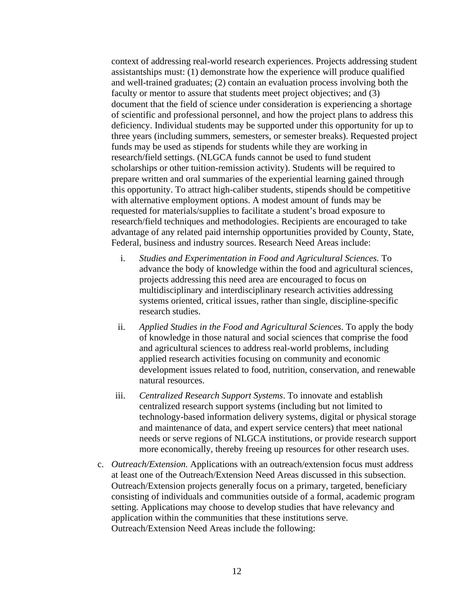context of addressing real-world research experiences. Projects addressing student assistantships must: (1) demonstrate how the experience will produce qualified and well-trained graduates; (2) contain an evaluation process involving both the faculty or mentor to assure that students meet project objectives; and (3) document that the field of science under consideration is experiencing a shortage of scientific and professional personnel, and how the project plans to address this deficiency. Individual students may be supported under this opportunity for up to three years (including summers, semesters, or semester breaks). Requested project funds may be used as stipends for students while they are working in research/field settings. (NLGCA funds cannot be used to fund student scholarships or other tuition-remission activity). Students will be required to prepare written and oral summaries of the experiential learning gained through this opportunity. To attract high-caliber students, stipends should be competitive with alternative employment options. A modest amount of funds may be requested for materials/supplies to facilitate a student's broad exposure to research/field techniques and methodologies. Recipients are encouraged to take advantage of any related paid internship opportunities provided by County, State, Federal, business and industry sources. Research Need Areas include:

- i. *Studies and Experimentation in Food and Agricultural Sciences.* To advance the body of knowledge within the food and agricultural sciences, projects addressing this need area are encouraged to focus on multidisciplinary and interdisciplinary research activities addressing systems oriented, critical issues, rather than single, discipline-specific research studies.
- ii. *Applied Studies in the Food and Agricultural Sciences*. To apply the body of knowledge in those natural and social sciences that comprise the food and agricultural sciences to address real-world problems, including applied research activities focusing on community and economic development issues related to food, nutrition, conservation, and renewable natural resources.
- iii. *Centralized Research Support Systems*. To innovate and establish centralized research support systems (including but not limited to technology-based information delivery systems, digital or physical storage and maintenance of data, and expert service centers) that meet national needs or serve regions of NLGCA institutions, or provide research support more economically, thereby freeing up resources for other research uses.
- c. *Outreach/Extension.* Applications with an outreach/extension focus must address at least one of the Outreach/Extension Need Areas discussed in this subsection. Outreach/Extension projects generally focus on a primary, targeted, beneficiary consisting of individuals and communities outside of a formal, academic program setting. Applications may choose to develop studies that have relevancy and application within the communities that these institutions serve. Outreach/Extension Need Areas include the following: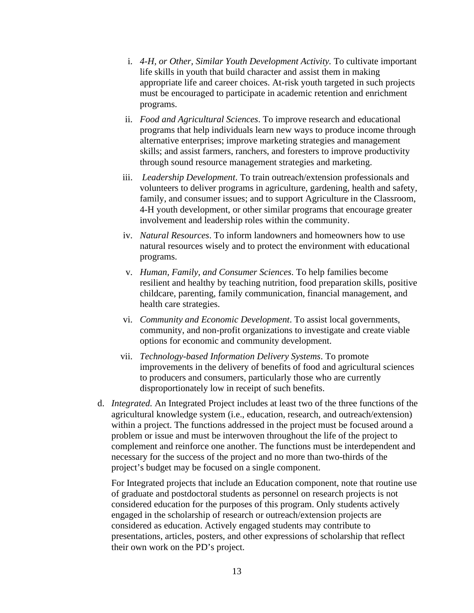- i. *4-H, or Other, Similar Youth Development Activity.* To cultivate important life skills in youth that build character and assist them in making appropriate life and career choices. At-risk youth targeted in such projects must be encouraged to participate in academic retention and enrichment programs.
- ii. *Food and Agricultural Sciences*. To improve research and educational programs that help individuals learn new ways to produce income through alternative enterprises; improve marketing strategies and management skills; and assist farmers, ranchers, and foresters to improve productivity through sound resource management strategies and marketing.
- iii. *Leadership Development*. To train outreach/extension professionals and volunteers to deliver programs in agriculture, gardening, health and safety, family, and consumer issues; and to support Agriculture in the Classroom, 4-H youth development, or other similar programs that encourage greater involvement and leadership roles within the community.
- iv. *Natural Resources*. To inform landowners and homeowners how to use natural resources wisely and to protect the environment with educational programs.
- v. *Human, Family, and Consumer Sciences*. To help families become resilient and healthy by teaching nutrition, food preparation skills, positive childcare, parenting, family communication, financial management, and health care strategies.
- vi. *Community and Economic Development*. To assist local governments, community, and non-profit organizations to investigate and create viable options for economic and community development.
- vii. *Technology-based Information Delivery Systems*. To promote improvements in the delivery of benefits of food and agricultural sciences to producers and consumers, particularly those who are currently disproportionately low in receipt of such benefits.
- d. *Integrated.* An Integrated Project includes at least two of the three functions of the agricultural knowledge system (i.e., education, research, and outreach/extension) within a project. The functions addressed in the project must be focused around a problem or issue and must be interwoven throughout the life of the project to complement and reinforce one another. The functions must be interdependent and necessary for the success of the project and no more than two-thirds of the project's budget may be focused on a single component.

For Integrated projects that include an Education component, note that routine use of graduate and postdoctoral students as personnel on research projects is not considered education for the purposes of this program. Only students actively engaged in the scholarship of research or outreach/extension projects are considered as education. Actively engaged students may contribute to presentations, articles, posters, and other expressions of scholarship that reflect their own work on the PD's project.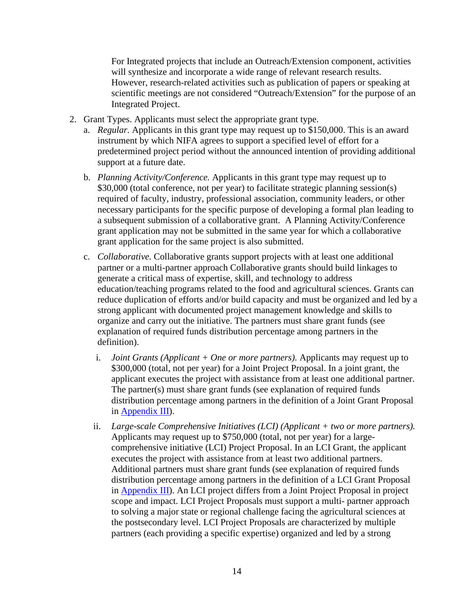For Integrated projects that include an Outreach/Extension component, activities will synthesize and incorporate a wide range of relevant research results. However, research-related activities such as publication of papers or speaking at scientific meetings are not considered "Outreach/Extension" for the purpose of an Integrated Project.

- 2. Grant Types. Applicants must select the appropriate grant type.
	- a. *Regular.* Applicants in this grant type may request up to \$150,000. This is an award instrument by which NIFA agrees to support a specified level of effort for a predetermined project period without the announced intention of providing additional support at a future date.
	- b. *Planning Activity/Conference.* Applicants in this grant type may request up to \$30,000 (total conference, not per year) to facilitate strategic planning session(s) required of faculty, industry, professional association, community leaders, or other necessary participants for the specific purpose of developing a formal plan leading to a subsequent submission of a collaborative grant. A Planning Activity/Conference grant application may not be submitted in the same year for which a collaborative grant application for the same project is also submitted.
	- c. *Collaborative.* Collaborative grants support projects with at least one additional partner or a multi-partner approach Collaborative grants should build linkages to generate a critical mass of expertise, skill, and technology to address education/teaching programs related to the food and agricultural sciences. Grants can reduce duplication of efforts and/or build capacity and must be organized and led by a strong applicant with documented project management knowledge and skills to organize and carry out the initiative. The partners must share grant funds (see explanation of required funds distribution percentage among partners in the definition).
		- i. *Joint Grants (Applicant + One or more partners).* Applicants may request up to \$300,000 (total, not per year) for a Joint Project Proposal. In a joint grant, the applicant executes the project with assistance from at least one additional partner. The partner(s) must share grant funds (see explanation of required funds distribution percentage among partners in the definition of a Joint Grant Proposal in [Appendix III\)](#page-31-0).
		- ii. *Large-scale Comprehensive Initiatives (LCI) (Applicant + two or more partners).* Applicants may request up to \$750,000 (total, not per year) for a largecomprehensive initiative (LCI) Project Proposal. In an LCI Grant, the applicant executes the project with assistance from at least two additional partners. Additional partners must share grant funds (see explanation of required funds distribution percentage among partners in the definition of a LCI Grant Proposal in [Appendix III\)](#page-31-0). An LCI project differs from a Joint Project Proposal in project scope and impact. LCI Project Proposals must support a multi- partner approach to solving a major state or regional challenge facing the agricultural sciences at the postsecondary level. LCI Project Proposals are characterized by multiple partners (each providing a specific expertise) organized and led by a strong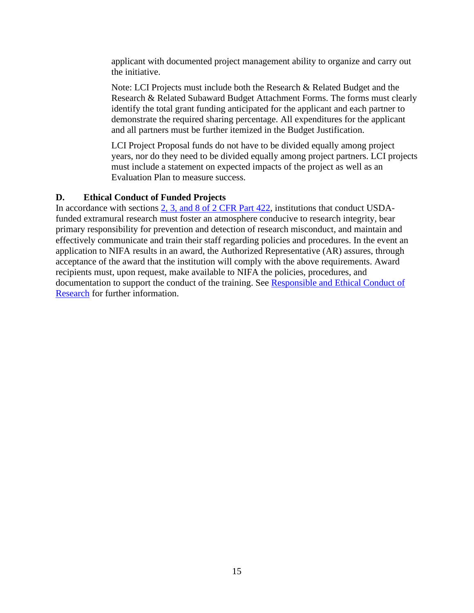applicant with documented project management ability to organize and carry out the initiative.

Note: LCI Projects must include both the Research & Related Budget and the Research & Related Subaward Budget Attachment Forms. The forms must clearly identify the total grant funding anticipated for the applicant and each partner to demonstrate the required sharing percentage. All expenditures for the applicant and all partners must be further itemized in the Budget Justification.

LCI Project Proposal funds do not have to be divided equally among project years, nor do they need to be divided equally among project partners. LCI projects must include a statement on expected impacts of the project as well as an Evaluation Plan to measure success.

#### <span id="page-14-0"></span>**D. Ethical Conduct of Funded Projects**

In accordance with sections [2, 3, and 8 of 2 CFR Part 422,](https://www.ecfr.gov/cgi-bin/text-idx?SID=62d65a8b49671dbbe21a70f9d1e6c4d6&mc=true&node=pt2.1.422&rgn=div5) institutions that conduct USDAfunded extramural research must foster an atmosphere conducive to research integrity, bear primary responsibility for prevention and detection of research misconduct, and maintain and effectively communicate and train their staff regarding policies and procedures. In the event an application to NIFA results in an award, the Authorized Representative (AR) assures, through acceptance of the award that the institution will comply with the above requirements. Award recipients must, upon request, make available to NIFA the policies, procedures, and documentation to support the conduct of the training. See [Responsible and Ethical Conduct of](https://nifa.usda.gov/responsible-and-ethical-conduct-research) [Research](https://nifa.usda.gov/responsible-and-ethical-conduct-research) for further information.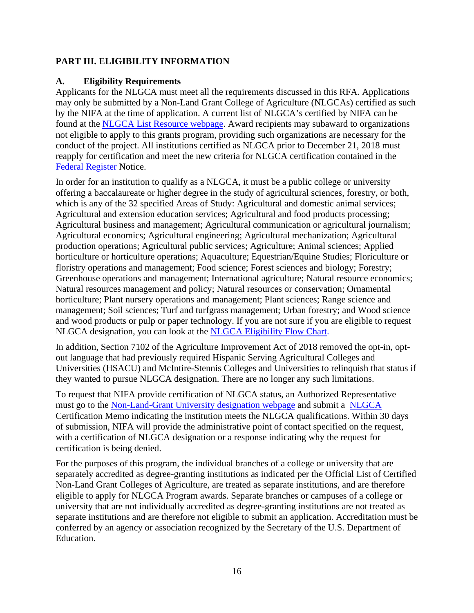# <span id="page-15-0"></span>**PART III. ELIGIBILITY INFORMATION**

#### <span id="page-15-1"></span>**A. Eligibility Requirements**

Applicants for the NLGCA must meet all the requirements discussed in this RFA. Applications may only be submitted by a Non-Land Grant College of Agriculture (NLGCAs) certified as such by the NIFA at the time of application. A current list of NLGCA's certified by NIFA can be found at the [NLGCA List Resource webpage.](https://nifa.usda.gov/resource/nlgca-list) Award recipients may subaward to organizations not eligible to apply to this grants program, providing such organizations are necessary for the conduct of the project. All institutions certified as NLGCA prior to December 21, 2018 must reapply for certification and meet the new criteria for NLGCA certification contained in the [Federal Register](https://www.federalregister.gov/documents/2019/05/16/2019-10105/designation-as-a-non-land-grant-college-of-agriculture?utm_content=&utm_medium=email&utm_name=&utm_source=govdelivery&utm_term=) Notice.

In order for an institution to qualify as a NLGCA, it must be a public college or university offering a baccalaureate or higher degree in the study of agricultural sciences, forestry, or both, which is any of the 32 specified Areas of Study: Agricultural and domestic animal services; Agricultural and extension education services; Agricultural and food products processing; Agricultural business and management; Agricultural communication or agricultural journalism; Agricultural economics; Agricultural engineering; Agricultural mechanization; Agricultural production operations; Agricultural public services; Agriculture; Animal sciences; Applied horticulture or horticulture operations; Aquaculture; Equestrian/Equine Studies; Floriculture or floristry operations and management; Food science; Forest sciences and biology; Forestry; Greenhouse operations and management; International agriculture; Natural resource economics; Natural resources management and policy; Natural resources or conservation; Ornamental horticulture; Plant nursery operations and management; Plant sciences; Range science and management; Soil sciences; Turf and turfgrass management; Urban forestry; and Wood science and wood products or pulp or paper technology. If you are not sure if you are eligible to request NLGCA designation, you can look at the [NLGCA Eligibility Flow Chart.](https://nifa.usda.gov/resource/nlgca-eligibility-flow-chart)

In addition, Section 7102 of the Agriculture Improvement Act of 2018 removed the opt-in, optout language that had previously required Hispanic Serving Agricultural Colleges and Universities (HSACU) and McIntire-Stennis Colleges and Universities to relinquish that status if they wanted to pursue NLGCA designation. There are no longer any such limitations.

To request that NIFA provide certification of NLGCA status, an Authorized Representative must go to the [Non-Land-Grant University designation webpage](https://nifa.usda.gov/webform/request-non-land-grant-college-agriculture-designation) and submit a [NLGCA](https://nifa.usda.gov/sites/default/files/resource/NLGCA-Certification-Memo-20200727.pdf) Certification Memo indicating the institution meets the NLGCA qualifications. Within 30 days of submission, NIFA will provide the administrative point of contact specified on the request, with a certification of NLGCA designation or a response indicating why the request for certification is being denied.

For the purposes of this program, the individual branches of a college or university that are separately accredited as degree-granting institutions as indicated per the Official List of Certified Non-Land Grant Colleges of Agriculture, are treated as separate institutions, and are therefore eligible to apply for NLGCA Program awards. Separate branches or campuses of a college or university that are not individually accredited as degree-granting institutions are not treated as separate institutions and are therefore not eligible to submit an application. Accreditation must be conferred by an agency or association recognized by the Secretary of the U.S. Department of Education.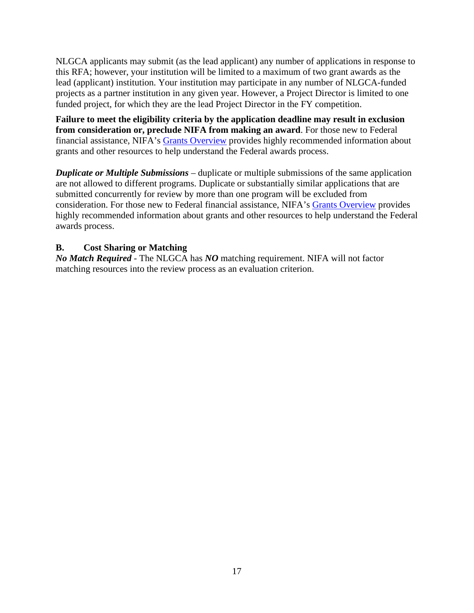NLGCA applicants may submit (as the lead applicant) any number of applications in response to this RFA; however, your institution will be limited to a maximum of two grant awards as the lead (applicant) institution. Your institution may participate in any number of NLGCA-funded projects as a partner institution in any given year. However, a Project Director is limited to one funded project, for which they are the lead Project Director in the FY competition.

**Failure to meet the eligibility criteria by the application deadline may result in exclusion from consideration or, preclude NIFA from making an award**. For those new to Federal financial assistance, NIFA's [Grants Overview](https://nifa.usda.gov/resource/grants-overview) provides highly recommended information about grants and other resources to help understand the Federal awards process.

*Duplicate or Multiple Submissions* – duplicate or multiple submissions of the same application are not allowed to different programs. Duplicate or substantially similar applications that are submitted concurrently for review by more than one program will be excluded from consideration. For those new to Federal financial assistance, NIFA's [Grants Overview](https://nifa.usda.gov/resource/grants-overview) provides highly recommended information about grants and other resources to help understand the Federal awards process.

# <span id="page-16-0"></span>**B. Cost Sharing or Matching**

<span id="page-16-1"></span>*No Match Required* - The NLGCA has *NO* matching requirement. NIFA will not factor matching resources into the review process as an evaluation criterion.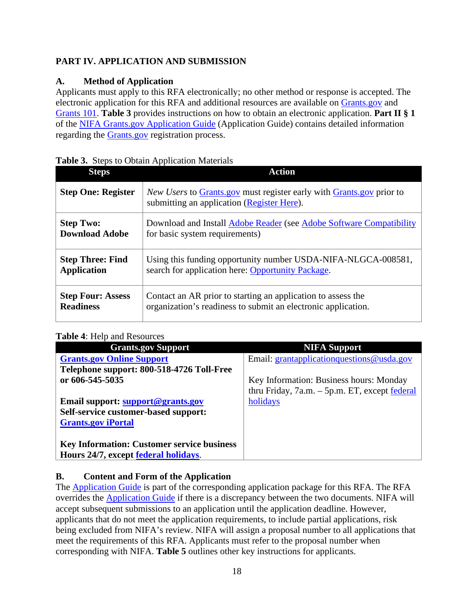# <span id="page-17-0"></span>**PART IV. APPLICATION AND SUBMISSION**

# <span id="page-17-1"></span>**A. Method of Application**

Applicants must apply to this RFA electronically; no other method or response is accepted. The electronic application for this RFA and additional resources are available on [Grants.gov](https://www.grants.gov/) and [Grants 101.](https://www.grants.gov/web/grants/learn-grants/grants-101/pre-award-phase.html/) **Table 3** provides instructions on how to obtain an electronic application. **Part II § 1** of the [NIFA Grants.gov Application Guide](https://apply07.grants.gov/apply/opportunities/instructions/PKG00249520-instructions.pdf) (Application Guide) contains detailed information regarding the [Grants.gov](https://www.grants.gov/) registration process.

| <b>Steps</b>              | <b>Action</b>                                                                                                             |
|---------------------------|---------------------------------------------------------------------------------------------------------------------------|
| <b>Step One: Register</b> | <i>New Users</i> to Grants.gov must register early with Grants.gov prior to<br>submitting an application (Register Here). |
| <b>Step Two:</b>          | Download and Install Adobe Reader (see Adobe Software Compatibility                                                       |
| <b>Download Adobe</b>     | for basic system requirements)                                                                                            |
| <b>Step Three: Find</b>   | Using this funding opportunity number USDA-NIFA-NLGCA-008581,                                                             |
| <b>Application</b>        | search for application here: Opportunity Package.                                                                         |
| <b>Step Four: Assess</b>  | Contact an AR prior to starting an application to assess the                                                              |
| <b>Readiness</b>          | organization's readiness to submit an electronic application.                                                             |

#### <span id="page-17-3"></span>**Table 3.** Steps to Obtain Application Materials

#### <span id="page-17-4"></span>**Table 4**: Help and Resources

| <b>rapic</b> +. Ticip and resources               |                                                  |
|---------------------------------------------------|--------------------------------------------------|
| <b>Grants.gov Support</b>                         | <b>NIFA Support</b>                              |
| <b>Grants.gov Online Support</b>                  | Email: grantapplication questions @usda.gov      |
| Telephone support: 800-518-4726 Toll-Free         |                                                  |
| or 606-545-5035                                   | Key Information: Business hours: Monday          |
|                                                   | thru Friday, $7a.m. - 5p.m. ET$ , except federal |
| Email support: support@grants.gov                 | holidays                                         |
| <b>Self-service customer-based support:</b>       |                                                  |
| <b>Grants.gov iPortal</b>                         |                                                  |
|                                                   |                                                  |
| <b>Key Information: Customer service business</b> |                                                  |
| Hours 24/7, except federal holidays.              |                                                  |

# <span id="page-17-2"></span>**B. Content and Form of the Application**

The [Application Guide](https://apply07.grants.gov/apply/opportunities/instructions/PKG00249520-instructions.pdf) is part of the corresponding application package for this RFA. The RFA overrides the [Application Guide](https://apply07.grants.gov/apply/opportunities/instructions/PKG00249520-instructions.pdf) if there is a discrepancy between the two documents. NIFA will accept subsequent submissions to an application until the application deadline. However, applicants that do not meet the application requirements, to include partial applications, risk being excluded from NIFA's review. NIFA will assign a proposal number to all applications that meet the requirements of this RFA. Applicants must refer to the proposal number when corresponding with NIFA. **Table 5** outlines other key instructions for applicants.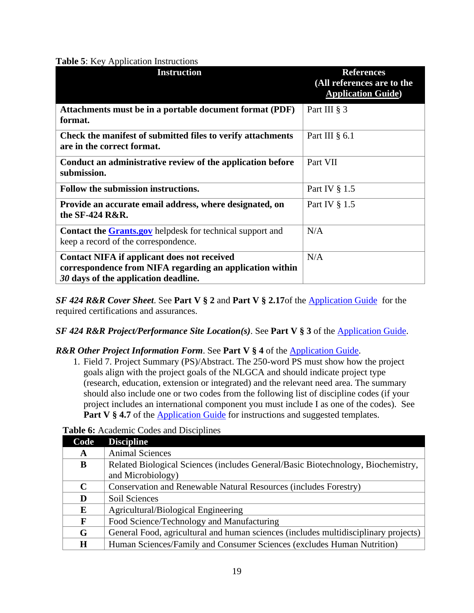#### <span id="page-18-0"></span>**Table 5**: Key Application Instructions

| <b>Instruction</b>                                                                                                                              | <b>References</b><br>(All references are to the<br><b>Application Guide</b> ) |
|-------------------------------------------------------------------------------------------------------------------------------------------------|-------------------------------------------------------------------------------|
| Attachments must be in a portable document format (PDF)<br>format.                                                                              | Part III § 3                                                                  |
| Check the manifest of submitted files to verify attachments<br>are in the correct format.                                                       | Part III $§$ 6.1                                                              |
| Conduct an administrative review of the application before<br>submission.                                                                       | Part VII                                                                      |
| Follow the submission instructions.                                                                                                             | Part IV § 1.5                                                                 |
| Provide an accurate email address, where designated, on<br>the SF-424 R&R.                                                                      | Part IV § 1.5                                                                 |
| <b>Contact the Grants.gov</b> helpdesk for technical support and<br>keep a record of the correspondence.                                        | N/A                                                                           |
| Contact NIFA if applicant does not received<br>correspondence from NIFA regarding an application within<br>30 days of the application deadline. | N/A                                                                           |

*SF 424 R&R Cover Sheet*. See **Part V § 2** and **Part V § 2.17**of the [Application Guide](https://apply07.grants.gov/apply/opportunities/instructions/PKG00249520-instructions.pdf) for the required certifications and assurances.

#### *SF 424 R&R Project/Performance Site Location(s)*. See **Part V § 3** of the [Application Guide.](https://apply07.grants.gov/apply/opportunities/instructions/PKG00249520-instructions.pdf)

#### **R&R Other Project Information Form. See Part V § 4** of the **Application Guide**.

1. Field 7. Project Summary (PS)/Abstract. The 250-word PS must show how the project goals align with the project goals of the NLGCA and should indicate project type (research, education, extension or integrated) and the relevant need area. The summary should also include one or two codes from the following list of discipline codes (if your project includes an international component you must include I as one of the codes). See **Part V § 4.7** of the **Application Guide** for instructions and suggested templates.

<span id="page-18-1"></span>

| Code        | <b>Discipline</b>                                                                                     |
|-------------|-------------------------------------------------------------------------------------------------------|
| A           | <b>Animal Sciences</b>                                                                                |
| B           | Related Biological Sciences (includes General/Basic Biotechnology, Biochemistry,<br>and Microbiology) |
| $\mathbf C$ | Conservation and Renewable Natural Resources (includes Forestry)                                      |
| D           | Soil Sciences                                                                                         |
| E           | Agricultural/Biological Engineering                                                                   |
| F           | Food Science/Technology and Manufacturing                                                             |
| G           | General Food, agricultural and human sciences (includes multidisciplinary projects)                   |
| $\bf H$     | Human Sciences/Family and Consumer Sciences (excludes Human Nutrition)                                |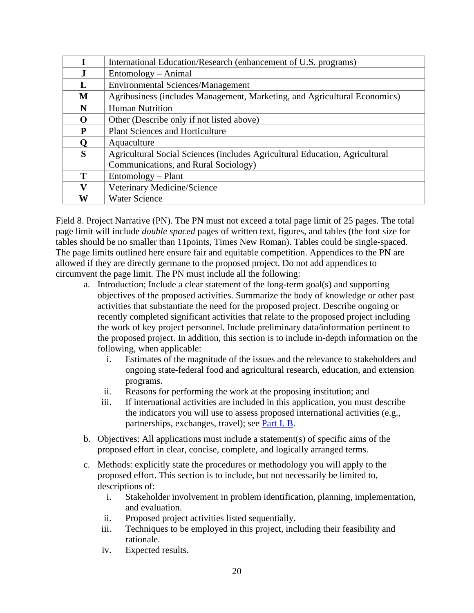|    | International Education/Research (enhancement of U.S. programs)             |
|----|-----------------------------------------------------------------------------|
| Л. | Entomology – Animal                                                         |
| L  | <b>Environmental Sciences/Management</b>                                    |
| M  | Agribusiness (includes Management, Marketing, and Agricultural Economics)   |
| N  | <b>Human Nutrition</b>                                                      |
| O  | Other (Describe only if not listed above)                                   |
| P  | <b>Plant Sciences and Horticulture</b>                                      |
| 0  | Aquaculture                                                                 |
| S  | Agricultural Social Sciences (includes Agricultural Education, Agricultural |
|    | Communications, and Rural Sociology)                                        |
| т  | Entomology – Plant                                                          |
| V  | Veterinary Medicine/Science                                                 |
| W  | <b>Water Science</b>                                                        |

Field 8. Project Narrative (PN). The PN must not exceed a total page limit of 25 pages. The total page limit will include *double spaced* pages of written text, figures, and tables (the font size for tables should be no smaller than 11points, Times New Roman). Tables could be single-spaced. The page limits outlined here ensure fair and equitable competition. Appendices to the PN are allowed if they are directly germane to the proposed project. Do not add appendices to circumvent the page limit. The PN must include all the following:

- a. Introduction; Include a clear statement of the long-term goal(s) and supporting objectives of the proposed activities. Summarize the body of knowledge or other past activities that substantiate the need for the proposed project. Describe ongoing or recently completed significant activities that relate to the proposed project including the work of key project personnel. Include preliminary data/information pertinent to the proposed project. In addition, this section is to include in-depth information on the following, when applicable:
	- i. Estimates of the magnitude of the issues and the relevance to stakeholders and ongoing state-federal food and agricultural research, education, and extension programs.
	- ii. Reasons for performing the work at the proposing institution; and
	- iii. If international activities are included in this application, you must describe the indicators you will use to assess proposed international activities (e.g., partnerships, exchanges, travel); see [Part I. B.](#page-5-2)
- b. Objectives: All applications must include a statement(s) of specific aims of the proposed effort in clear, concise, complete, and logically arranged terms.
- c. Methods: explicitly state the procedures or methodology you will apply to the proposed effort. This section is to include, but not necessarily be limited to, descriptions of:
	- i. Stakeholder involvement in problem identification, planning, implementation, and evaluation.
	- ii. Proposed project activities listed sequentially.
	- iii. Techniques to be employed in this project, including their feasibility and rationale.
	- iv. Expected results.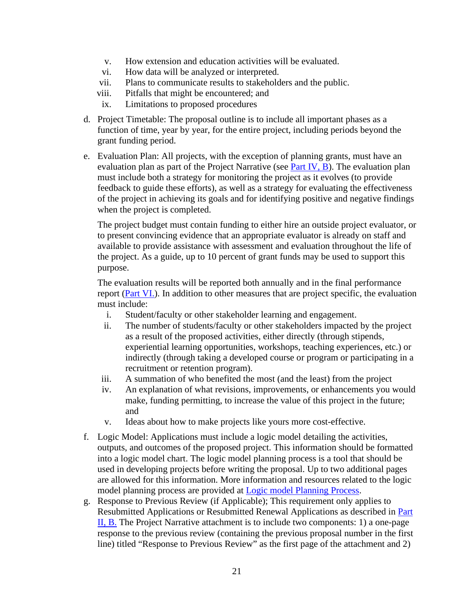- v. How extension and education activities will be evaluated.
- vi. How data will be analyzed or interpreted.
- vii. Plans to communicate results to stakeholders and the public.
- viii. Pitfalls that might be encountered; and
- ix. Limitations to proposed procedures
- d. Project Timetable: The proposal outline is to include all important phases as a function of time, year by year, for the entire project, including periods beyond the grant funding period.
- e. Evaluation Plan: All projects, with the exception of planning grants, must have an evaluation plan as part of the Project Narrative (see [Part IV, B\)](#page-17-2). The evaluation plan must include both a strategy for monitoring the project as it evolves (to provide feedback to guide these efforts), as well as a strategy for evaluating the effectiveness of the project in achieving its goals and for identifying positive and negative findings when the project is completed.

The project budget must contain funding to either hire an outside project evaluator, or to present convincing evidence that an appropriate evaluator is already on staff and available to provide assistance with assessment and evaluation throughout the life of the project. As a guide, up to 10 percent of grant funds may be used to support this purpose.

The evaluation results will be reported both annually and in the final performance report [\(Part VI.\)](#page-26-2). In addition to other measures that are project specific, the evaluation must include:

- i. Student/faculty or other stakeholder learning and engagement.
- ii. The number of students/faculty or other stakeholders impacted by the project as a result of the proposed activities, either directly (through stipends, experiential learning opportunities, workshops, teaching experiences, etc.) or indirectly (through taking a developed course or program or participating in a recruitment or retention program).
- iii. A summation of who benefited the most (and the least) from the project
- iv. An explanation of what revisions, improvements, or enhancements you would make, funding permitting, to increase the value of this project in the future; and
- v. Ideas about how to make projects like yours more cost-effective.
- f. Logic Model: Applications must include a logic model detailing the activities, outputs, and outcomes of the proposed project. This information should be formatted into a logic model chart. The logic model planning process is a tool that should be used in developing projects before writing the proposal. Up to two additional pages are allowed for this information. More information and resources related to the logic model planning process are provided at [Logic model Planning Process.](https://nifa.usda.gov/resource/logic-model-planning-process)
- g. Response to Previous Review (if Applicable); This requirement only applies to Resubmitted Applications or Resubmitted Renewal Applications as described in [Part](#page-8-2) [II, B.](#page-8-2) The Project Narrative attachment is to include two components: 1) a one-page response to the previous review (containing the previous proposal number in the first line) titled "Response to Previous Review" as the first page of the attachment and 2)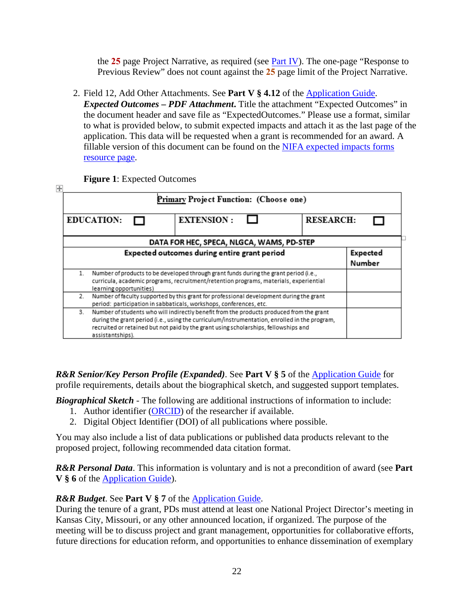the **25** page Project Narrative, as required (see [Part IV\).](#page-16-1) The one-page "Response to Previous Review" does not count against the **25** page limit of the Project Narrative.

2. Field 12, Add Other Attachments. See **Part V § 4.12** of the [Application Guide.](https://apply07.grants.gov/apply/opportunities/instructions/PKG00249520-instructions.pdf) *Expected Outcomes – PDF Attachment***.** Title the attachment "Expected Outcomes" in the document header and save file as "ExpectedOutcomes." Please use a format, similar to what is provided below, to submit expected impacts and attach it as the last page of the application. This data will be requested when a grant is recommended for an award. A fillable version of this document can be found on the [NIFA expected impacts forms](https://nifa.usda.gov/resource/recommended-format-submitting-expected-impacts) [resource page.](https://nifa.usda.gov/resource/recommended-format-submitting-expected-impacts)

<span id="page-21-0"></span>

| Primary Project Function: (Choose one)                                                                                                                                                                               |                   |                                                                                                                                                                                                                                                                                  |                  |                    |  |
|----------------------------------------------------------------------------------------------------------------------------------------------------------------------------------------------------------------------|-------------------|----------------------------------------------------------------------------------------------------------------------------------------------------------------------------------------------------------------------------------------------------------------------------------|------------------|--------------------|--|
|                                                                                                                                                                                                                      | <b>EDUCATION:</b> | <b>EXTENSION:</b>                                                                                                                                                                                                                                                                | <b>RESEARCH:</b> |                    |  |
| DATA FOR HEC, SPECA, NLGCA, WAMS, PD-STEP                                                                                                                                                                            |                   |                                                                                                                                                                                                                                                                                  |                  |                    |  |
|                                                                                                                                                                                                                      |                   | Expected outcomes during entire grant period                                                                                                                                                                                                                                     |                  | Expected<br>Number |  |
| Number of products to be developed through grant funds during the grant period (i.e.,<br>$1_{-}$<br>curricula, academic programs, recruitment/retention programs, materials, experiential<br>learning opportunities) |                   |                                                                                                                                                                                                                                                                                  |                  |                    |  |
| 2.                                                                                                                                                                                                                   |                   | Number of faculty supported by this grant for professional development during the grant<br>period: participation in sabbaticals, workshops, conferences, etc.                                                                                                                    |                  |                    |  |
| 3.                                                                                                                                                                                                                   | assistantships).  | Number of students who will indirectly benefit from the products produced from the grant<br>during the grant period (i.e., using the curriculum/instrumentation, enrolled in the program,<br>recruited or retained but not paid by the grant using scholarships, fellowships and |                  |                    |  |

**Figure 1**: Expected Outcomes

*R&R Senior/Key Person Profile (Expanded)*. See **Part V § 5** of the [Application Guide](https://apply07.grants.gov/apply/opportunities/instructions/PKG00249520-instructions.pdf) for profile requirements, details about the biographical sketch, and suggested support templates.

*Biographical Sketch* - The following are additional instructions of information to include:

- 1. Author identifier [\(ORCID\)](https://orcid.org/) of the researcher if available.
- 2. Digital Object Identifier (DOI) of all publications where possible.

You may also include a list of data publications or published data products relevant to the proposed project, following recommended data citation format.

*R&R Personal Data*. This information is voluntary and is not a precondition of award (see **Part V § 6** of the [Application Guide\)](https://apply07.grants.gov/apply/opportunities/instructions/PKG00249520-instructions.pdf).

#### *R&R Budget*. See **Part V § 7** of the [Application Guide.](https://apply07.grants.gov/apply/opportunities/instructions/PKG00249520-instructions.pdf)

During the tenure of a grant, PDs must attend at least one National Project Director's meeting in Kansas City, Missouri, or any other announced location, if organized. The purpose of the meeting will be to discuss project and grant management, opportunities for collaborative efforts, future directions for education reform, and opportunities to enhance dissemination of exemplary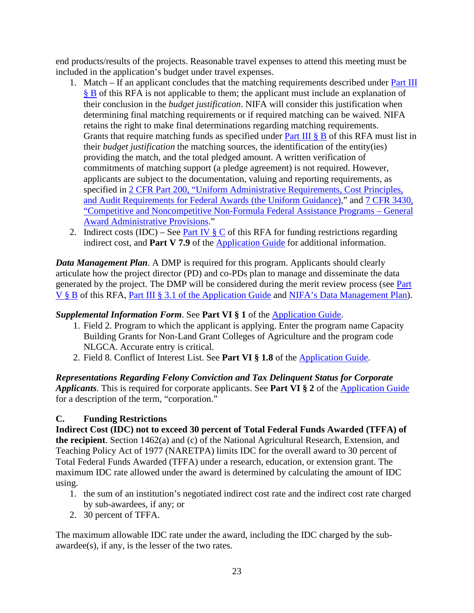end products/results of the projects. Reasonable travel expenses to attend this meeting must be included in the application's budget under travel expenses.

- 1. Match If an applicant concludes that the matching requirements described under [Part III](#page-16-0)  [§ B](#page-16-0) of this RFA is not applicable to them; the applicant must include an explanation of their conclusion in the *budget justification*. NIFA will consider this justification when determining final matching requirements or if required matching can be waived. NIFA retains the right to make final determinations regarding matching requirements. Grants that require matching funds as specified under [Part III § B](#page-16-0) of this RFA must list in their *budget justification* the matching sources, the identification of the entity(ies) providing the match, and the total pledged amount. A written verification of commitments of matching support (a pledge agreement) is not required. However, applicants are subject to the documentation, valuing and reporting requirements, as specified in [2 CFR Part 200, "Uniform Administrative Requirements, Cost Principles,](https://www.ecfr.gov/cgi-bin/text-idx?SID=39448527cdd5ebd0a063b91b8b44f0f5&mc=true&node=pt2.1.200&rgn=div5)  [and Audit Requirements for Federal Awards \(the Uniform Guidance\),](https://www.ecfr.gov/cgi-bin/text-idx?SID=39448527cdd5ebd0a063b91b8b44f0f5&mc=true&node=pt2.1.200&rgn=div5)" and [7 CFR 3430,](https://www.ecfr.gov/cgi-bin/text-idx?SID=d50471a1574110b58baa32ff1a2c7818&mc=true&node=pt7.15.3430&rgn=div5)  ["Competitive and Noncompetitive Non-Formula Federal Assistance Programs –](https://www.ecfr.gov/cgi-bin/text-idx?SID=d50471a1574110b58baa32ff1a2c7818&mc=true&node=pt7.15.3430&rgn=div5) General [Award Administrative Provisions.](https://www.ecfr.gov/cgi-bin/text-idx?SID=d50471a1574110b58baa32ff1a2c7818&mc=true&node=pt7.15.3430&rgn=div5)"
- 2. Indirect costs (IDC) See Part IV  $\S$  C of this RFA for funding restrictions regarding indirect cost, and **Part V 7.9** of the [Application Guide](https://apply07.grants.gov/apply/opportunities/instructions/PKG00249520-instructions.pdf) for additional information.

*Data Management Plan*. A DMP is required for this program. Applicants should clearly articulate how the project director (PD) and co-PDs plan to manage and disseminate the data generated by the project. The DMP will be considered during the merit review process (see [Part](#page-24-2)  [V § B](#page-24-2) of this RFA, Part III § 3.1 of the [Application Guide](https://apply07.grants.gov/apply/opportunities/instructions/PKG00249520-instructions.pdf) and NIFA's Data [Management Plan\)](https://nifa.usda.gov/resource/data-management-plan-nifa-funded-research-projects).

# *Supplemental Information Form*. See **Part VI § 1** of the [Application Guide.](https://apply07.grants.gov/apply/opportunities/instructions/PKG00249520-instructions.pdf)

- 1. Field 2. Program to which the applicant is applying. Enter the program name Capacity Building Grants for Non-Land Grant Colleges of Agriculture and the program code NLGCA. Accurate entry is critical.
- 2. Field 8. Conflict of Interest List. See **Part VI § 1.8** of the [Application Guide.](https://apply07.grants.gov/apply/opportunities/instructions/PKG00249520-instructions.pdf)

*Representations Regarding Felony Conviction and Tax Delinquent Status for Corporate Applicants*. This is required for corporate applicants. See **Part VI § 2** of the [Application Guide](https://apply07.grants.gov/apply/opportunities/instructions/PKG00249520-instructions.pdf) for a description of the term, "corporation."

#### <span id="page-22-0"></span>**C. Funding Restrictions**

**Indirect Cost (IDC) not to exceed 30 percent of Total Federal Funds Awarded (TFFA) of the recipient**. Section 1462(a) and (c) of the National Agricultural Research, Extension, and Teaching Policy Act of 1977 (NARETPA) limits IDC for the overall award to 30 percent of Total Federal Funds Awarded (TFFA) under a research, education, or extension grant. The maximum IDC rate allowed under the award is determined by calculating the amount of IDC using.

- 1. the sum of an institution's negotiated indirect cost rate and the indirect cost rate charged by sub-awardees, if any; or
- 2. 30 percent of TFFA.

The maximum allowable IDC rate under the award, including the IDC charged by the subawardee(s), if any, is the lesser of the two rates.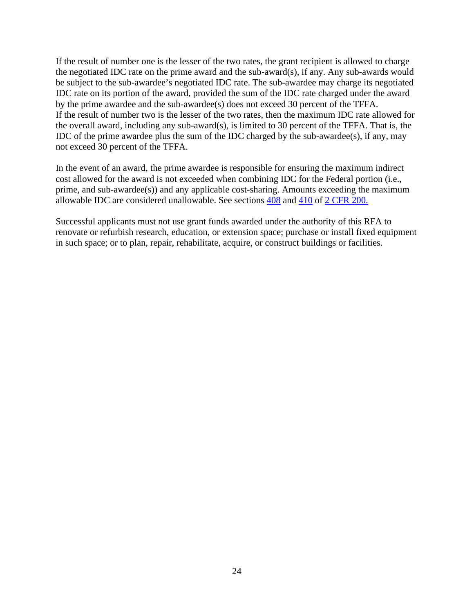If the result of number one is the lesser of the two rates, the grant recipient is allowed to charge the negotiated IDC rate on the prime award and the sub-award(s), if any. Any sub-awards would be subject to the sub-awardee's negotiated IDC rate. The sub-awardee may charge its negotiated IDC rate on its portion of the award, provided the sum of the IDC rate charged under the award by the prime awardee and the sub-awardee(s) does not exceed 30 percent of the TFFA. If the result of number two is the lesser of the two rates, then the maximum IDC rate allowed for the overall award, including any sub-award(s), is limited to 30 percent of the TFFA. That is, the IDC of the prime awardee plus the sum of the IDC charged by the sub-awardee(s), if any, may not exceed 30 percent of the TFFA.

In the event of an award, the prime awardee is responsible for ensuring the maximum indirect cost allowed for the award is not exceeded when combining IDC for the Federal portion (i.e., prime, and sub-awardee(s)) and any applicable cost-sharing. Amounts exceeding the maximum allowable IDC are considered unallowable. See sections [408](https://www.ecfr.gov/cgi-bin/text-idx?SID=555b29829789676ba7398d4d83ed357e&mc=true&node=pt2.1.200&rgn=div5#se2.1.200_1408) and [410](https://www.ecfr.gov/cgi-bin/text-idx?SID=555b29829789676ba7398d4d83ed357e&mc=true&node=pt2.1.200&rgn=div5#se2.1.200_1410) of [2 CFR 200.](https://www.ecfr.gov/cgi-bin/text-idx?SID=555b29829789676ba7398d4d83ed357e&mc=true&node=pt2.1.200&rgn=div5)

Successful applicants must not use grant funds awarded under the authority of this RFA to renovate or refurbish research, education, or extension space; purchase or install fixed equipment in such space; or to plan, repair, rehabilitate, acquire, or construct buildings or facilities.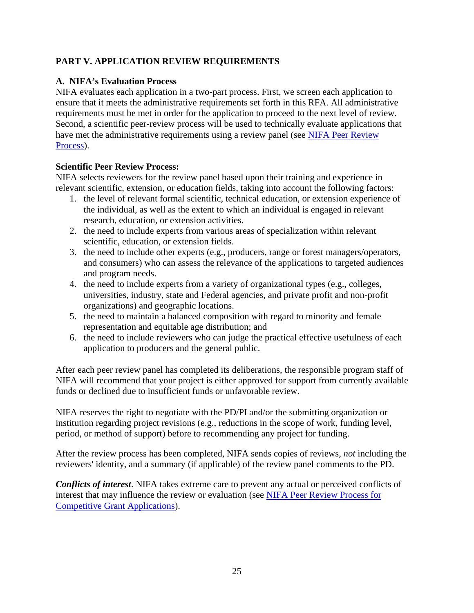# <span id="page-24-0"></span>**PART V. APPLICATION REVIEW REQUIREMENTS**

#### <span id="page-24-1"></span>**A. NIFA's Evaluation Process**

NIFA evaluates each application in a two-part process. First, we screen each application to ensure that it meets the administrative requirements set forth in this RFA. All administrative requirements must be met in order for the application to proceed to the next level of review. Second, a scientific peer-review process will be used to technically evaluate applications that have met the administrative requirements using a review panel (see [NIFA Peer Review](https://nifa.usda.gov/sites/default/files/resource/NIFA-Peer-Review-Process-for-Competitive-Grant-Applications_0.pdf)  [Process\)](https://nifa.usda.gov/sites/default/files/resource/NIFA-Peer-Review-Process-for-Competitive-Grant-Applications_0.pdf).

# **Scientific Peer Review Process:**

NIFA selects reviewers for the review panel based upon their training and experience in relevant scientific, extension, or education fields, taking into account the following factors:

- 1. the level of relevant formal scientific, technical education, or extension experience of the individual, as well as the extent to which an individual is engaged in relevant research, education, or extension activities.
- 2. the need to include experts from various areas of specialization within relevant scientific, education, or extension fields.
- 3. the need to include other experts (e.g., producers, range or forest managers/operators, and consumers) who can assess the relevance of the applications to targeted audiences and program needs.
- 4. the need to include experts from a variety of organizational types (e.g., colleges, universities, industry, state and Federal agencies, and private profit and non-profit organizations) and geographic locations.
- 5. the need to maintain a balanced composition with regard to minority and female representation and equitable age distribution; and
- 6. the need to include reviewers who can judge the practical effective usefulness of each application to producers and the general public.

After each peer review panel has completed its deliberations, the responsible program staff of NIFA will recommend that your project is either approved for support from currently available funds or declined due to insufficient funds or unfavorable review.

NIFA reserves the right to negotiate with the PD/PI and/or the submitting organization or institution regarding project revisions (e.g., reductions in the scope of work, funding level, period, or method of support) before to recommending any project for funding.

After the review process has been completed, NIFA sends copies of reviews, *not* including the reviewers' identity, and a summary (if applicable) of the review panel comments to the PD.

<span id="page-24-2"></span>*Conflicts of interest*. NIFA takes extreme care to prevent any actual or perceived conflicts of interest that may influence the review or evaluation (see [NIFA Peer Review Process for](https://nifa.usda.gov/resource/nifa-peer-review-process-competitive-grant-applications)  [Competitive Grant Applications\)](https://nifa.usda.gov/resource/nifa-peer-review-process-competitive-grant-applications).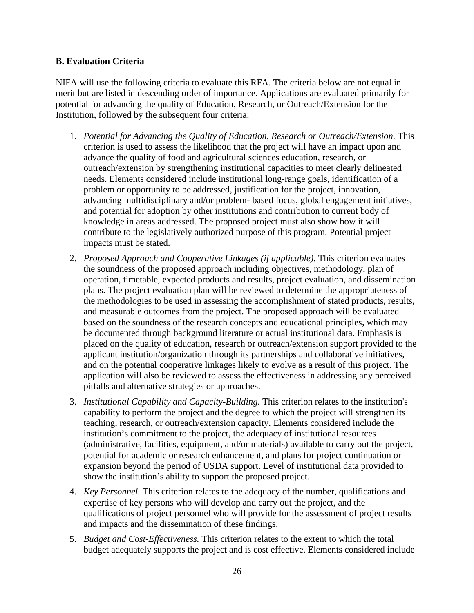#### <span id="page-25-0"></span>**B. Evaluation Criteria**

NIFA will use the following criteria to evaluate this RFA. The criteria below are not equal in merit but are listed in descending order of importance. Applications are evaluated primarily for potential for advancing the quality of Education, Research, or Outreach/Extension for the Institution, followed by the subsequent four criteria:

- 1. *Potential for Advancing the Quality of Education, Research or Outreach/Extension.* This criterion is used to assess the likelihood that the project will have an impact upon and advance the quality of food and agricultural sciences education, research, or outreach/extension by strengthening institutional capacities to meet clearly delineated needs. Elements considered include institutional long-range goals, identification of a problem or opportunity to be addressed, justification for the project, innovation, advancing multidisciplinary and/or problem- based focus, global engagement initiatives, and potential for adoption by other institutions and contribution to current body of knowledge in areas addressed. The proposed project must also show how it will contribute to the legislatively authorized purpose of this program. Potential project impacts must be stated.
- 2. *Proposed Approach and Cooperative Linkages (if applicable).* This criterion evaluates the soundness of the proposed approach including objectives, methodology, plan of operation, timetable, expected products and results, project evaluation, and dissemination plans. The project evaluation plan will be reviewed to determine the appropriateness of the methodologies to be used in assessing the accomplishment of stated products, results, and measurable outcomes from the project. The proposed approach will be evaluated based on the soundness of the research concepts and educational principles, which may be documented through background literature or actual institutional data. Emphasis is placed on the quality of education, research or outreach/extension support provided to the applicant institution/organization through its partnerships and collaborative initiatives, and on the potential cooperative linkages likely to evolve as a result of this project. The application will also be reviewed to assess the effectiveness in addressing any perceived pitfalls and alternative strategies or approaches.
- 3. *Institutional Capability and Capacity-Building.* This criterion relates to the institution's capability to perform the project and the degree to which the project will strengthen its teaching, research, or outreach/extension capacity. Elements considered include the institution's commitment to the project, the adequacy of institutional resources (administrative, facilities, equipment, and/or materials) available to carry out the project, potential for academic or research enhancement, and plans for project continuation or expansion beyond the period of USDA support. Level of institutional data provided to show the institution's ability to support the proposed project.
- 4. *Key Personnel.* This criterion relates to the adequacy of the number, qualifications and expertise of key persons who will develop and carry out the project, and the qualifications of project personnel who will provide for the assessment of project results and impacts and the dissemination of these findings.
- 5. *Budget and Cost-Effectiveness.* This criterion relates to the extent to which the total budget adequately supports the project and is cost effective. Elements considered include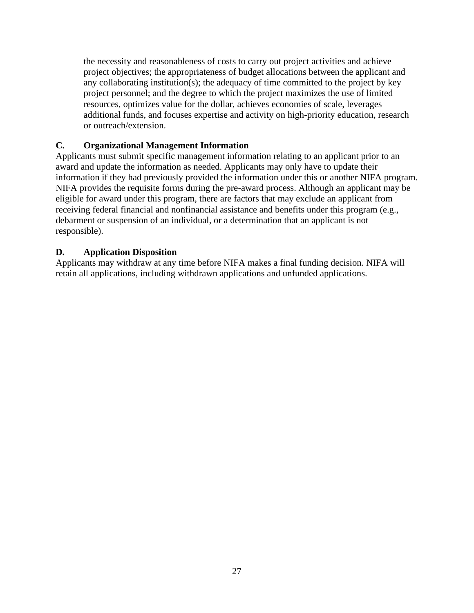the necessity and reasonableness of costs to carry out project activities and achieve project objectives; the appropriateness of budget allocations between the applicant and any collaborating institution(s); the adequacy of time committed to the project by key project personnel; and the degree to which the project maximizes the use of limited resources, optimizes value for the dollar, achieves economies of scale, leverages additional funds, and focuses expertise and activity on high-priority education, research or outreach/extension.

#### <span id="page-26-0"></span>**C. Organizational Management Information**

Applicants must submit specific management information relating to an applicant prior to an award and update the information as needed. Applicants may only have to update their information if they had previously provided the information under this or another NIFA program. NIFA provides the requisite forms during the pre-award process. Although an applicant may be eligible for award under this program, there are factors that may exclude an applicant from receiving federal financial and nonfinancial assistance and benefits under this program (e.g., debarment or suspension of an individual, or a determination that an applicant is not responsible).

#### <span id="page-26-1"></span>**D. Application Disposition**

<span id="page-26-2"></span>Applicants may withdraw at any time before NIFA makes a final funding decision. NIFA will retain all applications, including withdrawn applications and unfunded applications.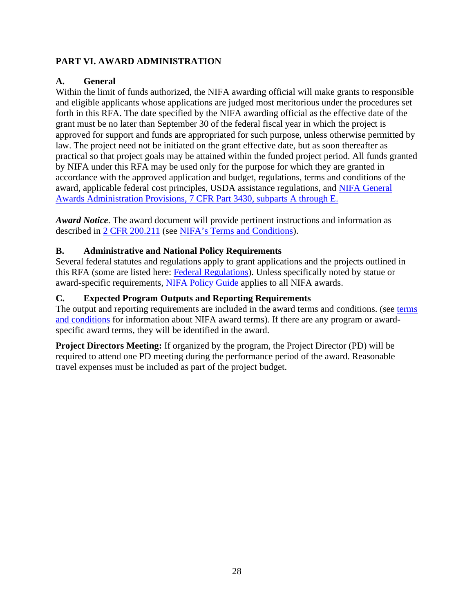# <span id="page-27-0"></span>**PART VI. AWARD ADMINISTRATION**

# <span id="page-27-1"></span>**A. General**

Within the limit of funds authorized, the NIFA awarding official will make grants to responsible and eligible applicants whose applications are judged most meritorious under the procedures set forth in this RFA. The date specified by the NIFA awarding official as the effective date of the grant must be no later than September 30 of the federal fiscal year in which the project is approved for support and funds are appropriated for such purpose, unless otherwise permitted by law. The project need not be initiated on the grant effective date, but as soon thereafter as practical so that project goals may be attained within the funded project period. All funds granted by NIFA under this RFA may be used only for the purpose for which they are granted in accordance with the approved application and budget, regulations, terms and conditions of the award, applicable federal cost principles, USDA assistance regulations, and [NIFA General](https://www.ecfr.gov/cgi-bin/text-idx?SID=6a5f73845211f2df567e549577b9a2c3&mc=true&node=pt7.15.3430&rgn=div5)  Awards Administration Provisions, [7 CFR Part 3430, subparts A through E.](https://www.ecfr.gov/cgi-bin/text-idx?SID=6a5f73845211f2df567e549577b9a2c3&mc=true&node=pt7.15.3430&rgn=div5)

*Award Notice*. The award document will provide pertinent instructions and information as described in [2 CFR 200.211](https://www.ecfr.gov/cgi-bin/text-idx?SID=4f6f35802cd758f4e409d113ac9eca54&mc=true&node=pt2.1.200&rgn=div5#se2.1.200_1211) (see [NIFA's Terms and Conditions\)](https://nifa.usda.gov/terms-and-conditions).

# <span id="page-27-2"></span>**B. Administrative and National Policy Requirements**

Several federal statutes and regulations apply to grant applications and the projects outlined in this RFA (some are listed here: [Federal Regulations\)](https://nifa.usda.gov/federal-regulations). Unless specifically noted by statue or award-specific requirements, [NIFA Policy Guide](https://nifa.usda.gov/policy-guide) applies to all NIFA awards.

# <span id="page-27-3"></span>**C. Expected Program Outputs and Reporting Requirements**

The output and reporting requirements are included in the award terms and conditions. (see [terms](https://nifa.usda.gov/terms-and-conditions)  [and conditions](https://nifa.usda.gov/terms-and-conditions) for information about NIFA award terms). If there are any program or awardspecific award terms, they will be identified in the award.

**Project Directors Meeting:** If organized by the program, the Project Director (PD) will be required to attend one PD meeting during the performance period of the award. Reasonable travel expenses must be included as part of the project budget.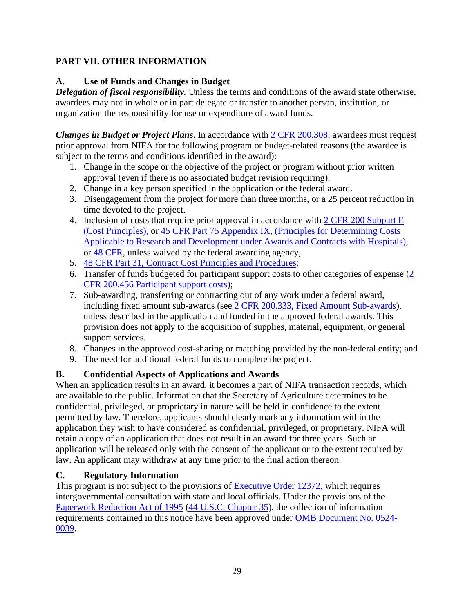# <span id="page-28-0"></span>**PART VII. OTHER INFORMATION**

# <span id="page-28-1"></span>**A. Use of Funds and Changes in Budget**

*Delegation of fiscal responsibility.* Unless the terms and conditions of the award state otherwise, awardees may not in whole or in part delegate or transfer to another person, institution, or organization the responsibility for use or expenditure of award funds.

*Changes in Budget or Project Plans.* In accordance with  $2$  CFR 200.308, awardees must request prior approval from NIFA for the following program or budget-related reasons (the awardee is subject to the terms and conditions identified in the award):

- 1. Change in the scope or the objective of the project or program without prior written approval (even if there is no associated budget revision requiring).
- 2. Change in a key person specified in the application or the federal award.
- 3. Disengagement from the project for more than three months, or a 25 percent reduction in time devoted to the project.
- 4. Inclusion of costs that require prior approval in accordance with [2 CFR 200 Subpart E](https://www.ecfr.gov/cgi-bin/text-idx?SID=bd66ff4e902bff904d78893d84705e00&mc=true&node=pt2.1.200&rgn=div5#sp2.1.200.e) [\(Cost Principles\),](https://www.ecfr.gov/cgi-bin/text-idx?SID=bd66ff4e902bff904d78893d84705e00&mc=true&node=pt2.1.200&rgn=div5#sp2.1.200.e) or [45 CFR Part 75 Appendix IX,](https://www.ecfr.gov/cgi-bin/text-idx?SID=9e8164ca228f76a0c29d30a031f56aab&mc=true&node=pt45.1.75&rgn=div5#ap45.1.75_1521.ix) [\(Principles for Determining Costs](https://www.ecfr.gov/cgi-bin/text-idx?SID=9e8164ca228f76a0c29d30a031f56aab&mc=true&node=pt45.1.75&rgn=div5#ap45.1.75_1521.ix)  Applicable to [Research and Development under Awards and Contracts with Hospitals\)](https://www.ecfr.gov/cgi-bin/text-idx?SID=9e8164ca228f76a0c29d30a031f56aab&mc=true&node=pt45.1.75&rgn=div5#ap45.1.75_1521.ix), or [48 CFR,](https://www.ecfr.gov/cgi-bin/text-idx?SID=6e0fe39b9c2e26d2a6af850484d64b4f&mc=true&tpl=/ecfrbrowse/Title48/48tab_02.tpl) unless waived by the federal awarding agency,
- 5. [48 CFR Part 31, Contract Cost Principles and Procedures;](https://www.ecfr.gov/cgi-bin/text-idx?SID=6e0fe39b9c2e26d2a6af850484d64b4f&mc=true&node=pt48.1.31&rgn=div5)
- 6. Transfer of funds budgeted for participant support costs to other categories of expense [\(2](https://www.ecfr.gov/cgi-bin/text-idx?SID=b1f2dba27e069ff0d121adc54da77923&mc=true&node=pt2.1.200&rgn=div5#se2.1.200_1456)  [CFR 200.456 Participant support costs\)](https://www.ecfr.gov/cgi-bin/text-idx?SID=b1f2dba27e069ff0d121adc54da77923&mc=true&node=pt2.1.200&rgn=div5#se2.1.200_1456);
- 7. Sub-awarding, transferring or contracting out of any work under a federal award, including fixed amount sub-awards (see [2 CFR 200.333, Fixed Amount Sub-awards\)](https://www.ecfr.gov/cgi-bin/text-idx?SID=b1f2dba27e069ff0d121adc54da77923&mc=true&node=pt2.1.200&rgn=div5#se2.1.200_1333), unless described in the application and funded in the approved federal awards. This provision does not apply to the acquisition of supplies, material, equipment, or general support services.
- 8. Changes in the approved cost-sharing or matching provided by the non-federal entity; and
- 9. The need for additional federal funds to complete the project.

# <span id="page-28-2"></span>**B. Confidential Aspects of Applications and Awards**

When an application results in an award, it becomes a part of NIFA transaction records, which are available to the public. Information that the Secretary of Agriculture determines to be confidential, privileged, or proprietary in nature will be held in confidence to the extent permitted by law. Therefore, applicants should clearly mark any information within the application they wish to have considered as confidential, privileged, or proprietary. NIFA will retain a copy of an application that does not result in an award for three years. Such an application will be released only with the consent of the applicant or to the extent required by law. An applicant may withdraw at any time prior to the final action thereon.

# <span id="page-28-3"></span>**C. Regulatory Information**

This program is not subject to the provisions of [Executive Order 12372,](https://www.fws.gov/policy/library/rgeo12372.pdf) which requires intergovernmental consultation with state and local officials. Under the provisions of the [Paperwork Reduction Act of 1995](https://www.reginfo.gov/public/reginfo/pra.pdf) [\(44 U.S.C. Chapter 35\)](http://uscode.house.gov/view.xhtml?path=/prelim@title44/chapter35&edition=prelim), the collection of information requirements contained in this notice have been approved under [OMB Document No. 0524-](https://www.federalregister.gov/documents/2018/10/29/2018-23552/submission-for-omb-review-comment-request) [0039.](https://www.federalregister.gov/documents/2018/10/29/2018-23552/submission-for-omb-review-comment-request)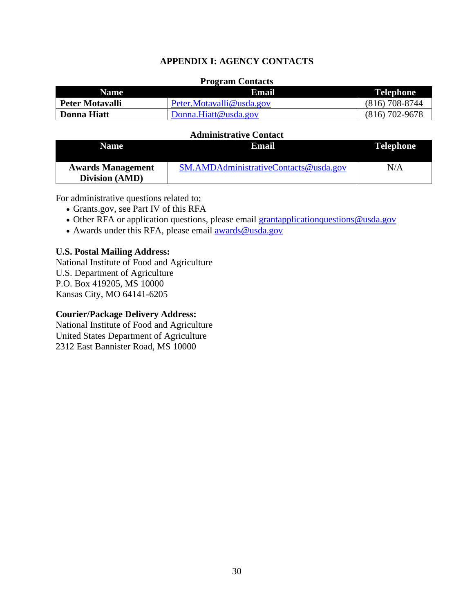#### **APPENDIX I: AGENCY CONTACTS**

#### **Program Contacts**

<span id="page-29-0"></span>

| <b>Name</b>            | Email                    | <b>Telephone</b> |
|------------------------|--------------------------|------------------|
| <b>Peter Motavalli</b> | Peter.Motavalli@usda.gov | $(816)$ 708-8744 |
| <b>Donna Hiatt</b>     | Donna.Hiatt@usda.gov     | $(816)$ 702-9678 |

#### **Administrative Contact**

| <b>Name</b>                                       | Email                                 | <b>Telephone</b> |
|---------------------------------------------------|---------------------------------------|------------------|
| <b>Awards Management</b><br><b>Division (AMD)</b> | SM.AMDAdministrativeContacts@usda.gov | N/A              |

For administrative questions related to;

- Grants.gov, see Part IV of this RFA
- Other RFA or application questions, please email [grantapplicationquestions@usda.gov](mailto:grantapplicationquestions@usda.gov)
- Awards under this RFA, please email [awards@usda.gov](mailto:awards@usda.gov)

#### **U.S. Postal Mailing Address:**

National Institute of Food and Agriculture U.S. Department of Agriculture P.O. Box 419205, MS 10000 Kansas City, MO 64141-6205

#### **Courier/Package Delivery Address:**

National Institute of Food and Agriculture United States Department of Agriculture 2312 East Bannister Road, MS 10000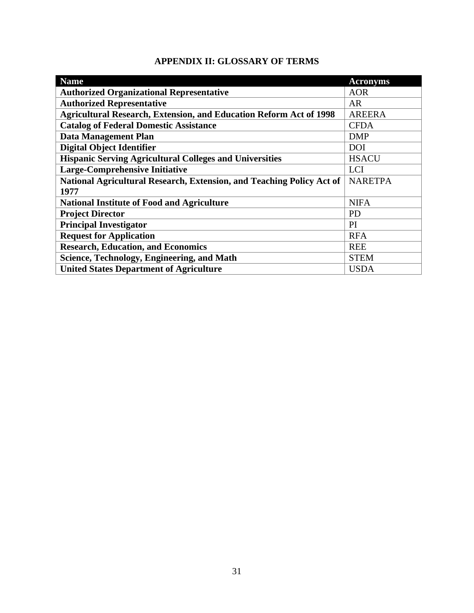<span id="page-30-0"></span>

| <b>Name</b>                                                               | <b>Acronyms</b> |
|---------------------------------------------------------------------------|-----------------|
| <b>Authorized Organizational Representative</b>                           | <b>AOR</b>      |
| <b>Authorized Representative</b>                                          | <b>AR</b>       |
| <b>Agricultural Research, Extension, and Education Reform Act of 1998</b> | <b>AREERA</b>   |
| <b>Catalog of Federal Domestic Assistance</b>                             | <b>CFDA</b>     |
| <b>Data Management Plan</b>                                               | <b>DMP</b>      |
| <b>Digital Object Identifier</b>                                          | DOI             |
| <b>Hispanic Serving Agricultural Colleges and Universities</b>            | <b>HSACU</b>    |
| <b>Large-Comprehensive Initiative</b>                                     | <b>LCI</b>      |
| National Agricultural Research, Extension, and Teaching Policy Act of     | <b>NARETPA</b>  |
| 1977                                                                      |                 |
| <b>National Institute of Food and Agriculture</b>                         | <b>NIFA</b>     |
| <b>Project Director</b>                                                   | <b>PD</b>       |
| <b>Principal Investigator</b>                                             | PI              |
| <b>Request for Application</b>                                            | <b>RFA</b>      |
| <b>Research, Education, and Economics</b>                                 | <b>REE</b>      |
| Science, Technology, Engineering, and Math                                | <b>STEM</b>     |
| <b>United States Department of Agriculture</b>                            | <b>USDA</b>     |

# **APPENDIX II: GLOSSARY OF TERMS**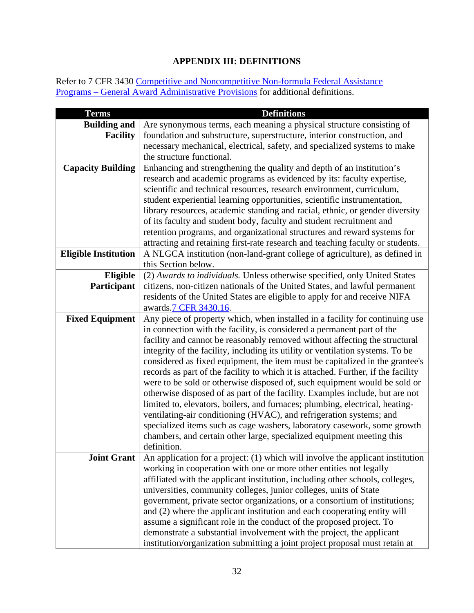# **APPENDIX III: DEFINITIONS**

<span id="page-31-0"></span>Refer to 7 CFR 3430 Competitive and Noncompetitive Non-formula Federal Assistance Programs – [General Award Administrative Provisions](https://www.ecfr.gov/cgi-bin/text-idx?c=ecfr&SID=2a6f6bfbef4c918616eebe5353d0793c&rgn=div5&view=text&node=7:15.1.12.2.13&idno=7#7:15.1.12.2.13.1.17.2) for additional definitions.

| <b>Terms</b>                | <b>Definitions</b>                                                                |
|-----------------------------|-----------------------------------------------------------------------------------|
| <b>Building and</b>         | Are synonymous terms, each meaning a physical structure consisting of             |
| <b>Facility</b>             | foundation and substructure, superstructure, interior construction, and           |
|                             | necessary mechanical, electrical, safety, and specialized systems to make         |
|                             | the structure functional.                                                         |
| <b>Capacity Building</b>    | Enhancing and strengthening the quality and depth of an institution's             |
|                             | research and academic programs as evidenced by its: faculty expertise,            |
|                             | scientific and technical resources, research environment, curriculum,             |
|                             | student experiential learning opportunities, scientific instrumentation,          |
|                             | library resources, academic standing and racial, ethnic, or gender diversity      |
|                             | of its faculty and student body, faculty and student recruitment and              |
|                             | retention programs, and organizational structures and reward systems for          |
|                             | attracting and retaining first-rate research and teaching faculty or students.    |
| <b>Eligible Institution</b> | A NLGCA institution (non-land-grant college of agriculture), as defined in        |
|                             | this Section below.                                                               |
| Eligible                    | (2) Awards to individuals. Unless otherwise specified, only United States         |
| Participant                 | citizens, non-citizen nationals of the United States, and lawful permanent        |
|                             | residents of the United States are eligible to apply for and receive NIFA         |
|                             | awards. 7 CFR 3430.16.                                                            |
| <b>Fixed Equipment</b>      | Any piece of property which, when installed in a facility for continuing use      |
|                             | in connection with the facility, is considered a permanent part of the            |
|                             | facility and cannot be reasonably removed without affecting the structural        |
|                             | integrity of the facility, including its utility or ventilation systems. To be    |
|                             | considered as fixed equipment, the item must be capitalized in the grantee's      |
|                             | records as part of the facility to which it is attached. Further, if the facility |
|                             | were to be sold or otherwise disposed of, such equipment would be sold or         |
|                             | otherwise disposed of as part of the facility. Examples include, but are not      |
|                             | limited to, elevators, boilers, and furnaces; plumbing, electrical, heating-      |
|                             | ventilating-air conditioning (HVAC), and refrigeration systems; and               |
|                             | specialized items such as cage washers, laboratory casework, some growth          |
|                             | chambers, and certain other large, specialized equipment meeting this             |
|                             | definition.                                                                       |
| <b>Joint Grant</b>          | An application for a project: (1) which will involve the applicant institution    |
|                             | working in cooperation with one or more other entities not legally                |
|                             | affiliated with the applicant institution, including other schools, colleges,     |
|                             | universities, community colleges, junior colleges, units of State                 |
|                             | government, private sector organizations, or a consortium of institutions;        |
|                             | and (2) where the applicant institution and each cooperating entity will          |
|                             | assume a significant role in the conduct of the proposed project. To              |
|                             | demonstrate a substantial involvement with the project, the applicant             |
|                             | institution/organization submitting a joint project proposal must retain at       |